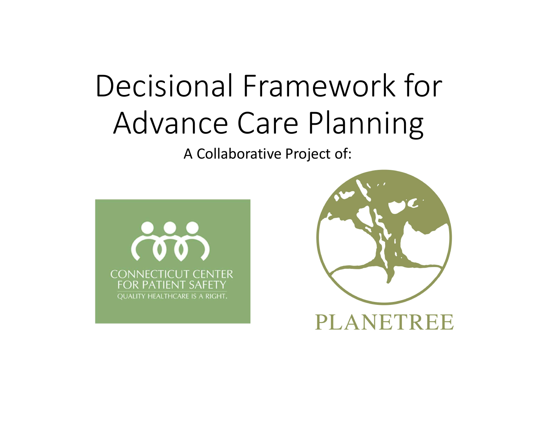# Decisional Framework for Advance Care Planning

A Collaborative Project of:



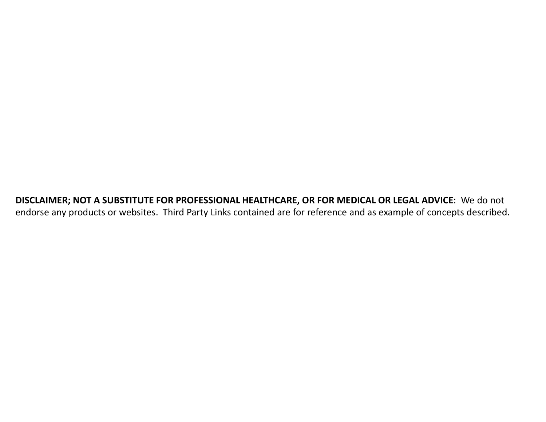DISCLAIMER; NOT A SUBSTITUTE FOR PROFESSIONAL HEALTHCARE, OR FOR MEDICAL OR LEGAL ADVICE: We do not endorse any products or websites. Third Party Links contained are for reference and as example of concepts described.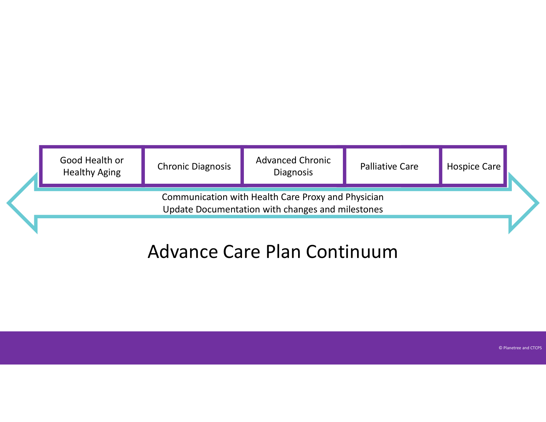| Good Health or<br><b>Healthy Aging</b> | <b>Chronic Diagnosis</b> | <b>Advanced Chronic</b><br><b>Diagnosis</b>                                                            | <b>Palliative Care</b> | Hospice Care |  |
|----------------------------------------|--------------------------|--------------------------------------------------------------------------------------------------------|------------------------|--------------|--|
|                                        |                          | Communication with Health Care Proxy and Physician<br>Update Documentation with changes and milestones |                        |              |  |

## Advance Care Plan Continuum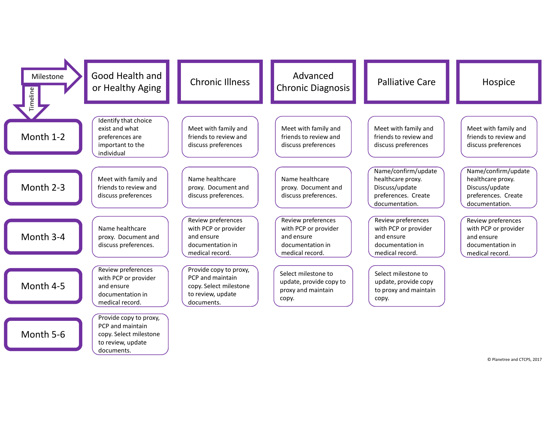| Milestone<br>Timeline | Good Health and<br>or Healthy Aging                                                                     | <b>Chronic Illness</b>                                                                                  | Advanced<br>Chronic Diagnosis                                                                   | <b>Palliative Care</b>                                                                              | Hospice                                                                                             |
|-----------------------|---------------------------------------------------------------------------------------------------------|---------------------------------------------------------------------------------------------------------|-------------------------------------------------------------------------------------------------|-----------------------------------------------------------------------------------------------------|-----------------------------------------------------------------------------------------------------|
| Month 1-2             | Identify that choice<br>exist and what<br>preferences are<br>important to the<br>individual             | Meet with family and<br>friends to review and<br>discuss preferences                                    | Meet with family and<br>friends to review and<br>discuss preferences                            | Meet with family and<br>friends to review and<br>discuss preferences                                | Meet with family and<br>friends to review and<br>discuss preferences                                |
| Month 2-3             | Meet with family and<br>friends to review and<br>discuss preferences                                    | Name healthcare<br>proxy. Document and<br>discuss preferences.                                          | Name healthcare<br>proxy. Document and<br>discuss preferences.                                  | Name/confirm/update<br>healthcare proxy.<br>Discuss/update<br>preferences. Create<br>documentation. | Name/confirm/update<br>healthcare proxy.<br>Discuss/update<br>preferences. Create<br>documentation. |
| Month 3-4             | Name healthcare<br>proxy. Document and<br>discuss preferences.                                          | Review preferences<br>with PCP or provider<br>and ensure<br>documentation in<br>medical record.         | Review preferences<br>with PCP or provider<br>and ensure<br>documentation in<br>medical record. | Review preferences<br>with PCP or provider<br>and ensure<br>documentation in<br>medical record.     | Review preferences<br>with PCP or provider<br>and ensure<br>documentation in<br>medical record.     |
| Month 4-5             | Review preferences<br>with PCP or provider<br>and ensure<br>documentation in<br>medical record.         | Provide copy to proxy,<br>PCP and maintain<br>copy. Select milestone<br>to review, update<br>documents. | Select milestone to<br>update, provide copy to<br>proxy and maintain<br>сору.                   | Select milestone to<br>update, provide copy<br>to proxy and maintain<br>copy.                       |                                                                                                     |
| Month 5-6             | Provide copy to proxy,<br>PCP and maintain<br>copy. Select milestone<br>to review, update<br>documents. |                                                                                                         |                                                                                                 |                                                                                                     |                                                                                                     |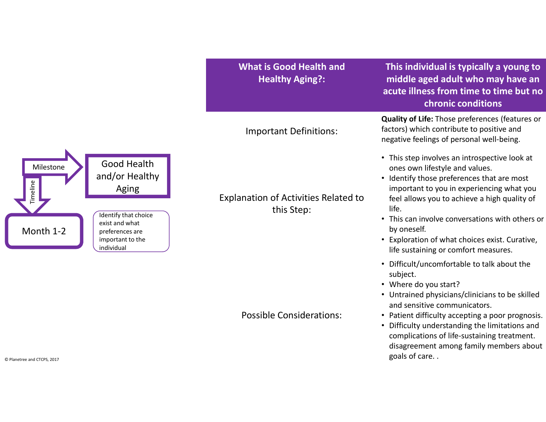What is Good Health and Healthy Aging?:

Important Definitions:

Explanation of Activities Related to this Step:

Possible Considerations:

This individual is typically a young to middle aged adult who may have an acute illness from time to time but no chronic conditions

Quality of Life: Those preferences (features or factors) which contribute to positive and negative feelings of personal well-being.

- This step involves an introspective look at ones own lifestyle and values.
- Identify those preferences that are most important to you in experiencing what you feel allows you to achieve a high quality of life.
- This can involve conversations with others or by oneself.
- Exploration of what choices exist. Curative, life sustaining or comfort measures.
- Difficult/uncomfortable to talk about the subject.
- Where do you start?
- Untrained physicians/clinicians to be skilled and sensitive communicators.
- Patient difficulty accepting a poor prognosis.
- Difficulty understanding the limitations and complications of life-sustaining treatment. disagreement among family members about  $\circ$  Planetree and CTCPS, 2017  $\circ$  **goals of care.** .

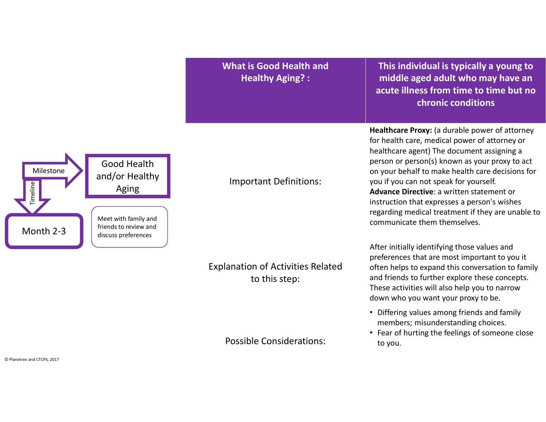What is Good Health and Healthy Aging? :

This individual is typically a young to middle aged adult who may have an acute illness from time to time but no chronic conditions

Healthcare Proxy: (a durable power of attorney for health care, medical power of attorney or healthcare agent) The document assigning a person or person(s) known as your proxy to act on your behalf to make health care decisions for you if you can not speak for yourself. Advance Directive: a written statement or instruction that expresses a person's wishes regarding medical treatment if they are unable to communicate them themselves.

After initially identifying those values and preferences that are most important to you it often helps to expand this conversation to family and friends to further explore these concepts. These activities will also help you to narrow down who you want your proxy to be.

- members; misunderstanding choices.
- Differing values among friends and family<br>
members; misunderstanding choices.<br>
 Fear of hurting the feelings of someone close<br>
to you. • Fear of hurting the feelings of someone close to you.



Explanation of Activities Related to this step:

Important Definitions: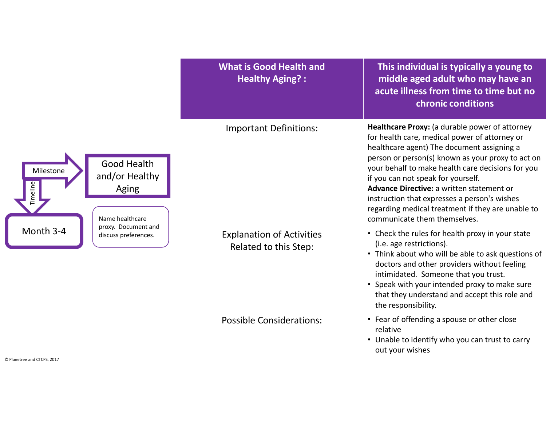|                                                                                    | <b>What is Good Health and</b><br><b>Healthy Aging?:</b>  | This individual is typically a young to<br>middle aged adult who may have an<br>acute illness from time to time but no<br>chronic conditions                                                                                                                                                                                                                                                                                                                                    |
|------------------------------------------------------------------------------------|-----------------------------------------------------------|---------------------------------------------------------------------------------------------------------------------------------------------------------------------------------------------------------------------------------------------------------------------------------------------------------------------------------------------------------------------------------------------------------------------------------------------------------------------------------|
| Good Health<br>Milestone<br>and/or Healthy<br>Timeline<br>Aging<br>Name healthcare | <b>Important Definitions:</b>                             | Healthcare Proxy: (a durable power of attorney<br>for health care, medical power of attorney or<br>healthcare agent) The document assigning a<br>person or person(s) known as your proxy to act on<br>your behalf to make health care decisions for you<br>if you can not speak for yourself.<br>Advance Directive: a written statement or<br>instruction that expresses a person's wishes<br>regarding medical treatment if they are unable to<br>communicate them themselves. |
| proxy. Document and<br>Month 3-4<br>discuss preferences.                           | <b>Explanation of Activities</b><br>Related to this Step: | • Check the rules for health proxy in your state<br>(i.e. age restrictions).<br>• Think about who will be able to ask questions of<br>doctors and other providers without feeling<br>intimidated. Someone that you trust.<br>• Speak with your intended proxy to make sure<br>that they understand and accept this role and<br>the responsibility.                                                                                                                              |
|                                                                                    | <b>Possible Considerations:</b>                           | • Fear of offending a spouse or other close<br>relative<br>• Unable to identify who you can trust to carry<br>out your wishes                                                                                                                                                                                                                                                                                                                                                   |

© Planetree and CTCPS, 2017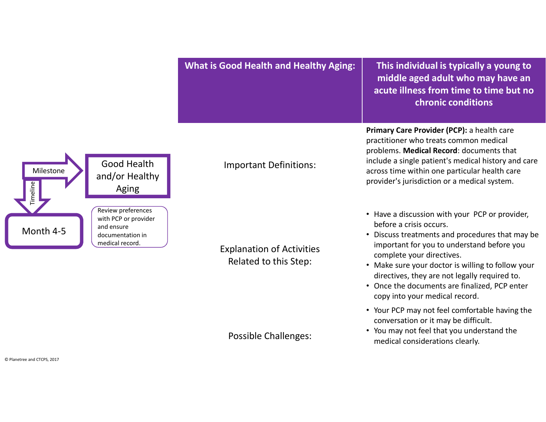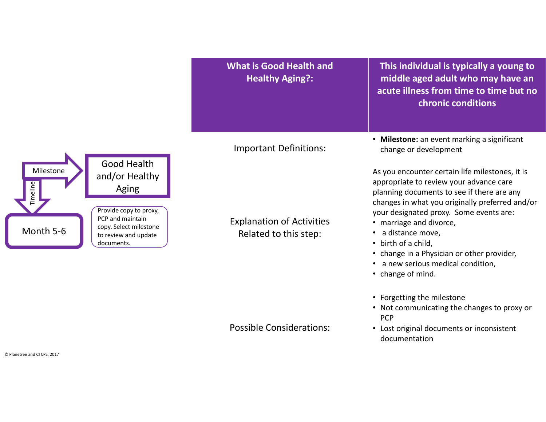|                                                                                                                                                                                                          | <b>What is Good Health and</b><br><b>Healthy Aging?:</b>  | This individual is typically a young to<br>middle aged adult who may have an<br>acute illness from time to time but no<br>chronic conditions                                                                                                                                                                                                                                                                          |
|----------------------------------------------------------------------------------------------------------------------------------------------------------------------------------------------------------|-----------------------------------------------------------|-----------------------------------------------------------------------------------------------------------------------------------------------------------------------------------------------------------------------------------------------------------------------------------------------------------------------------------------------------------------------------------------------------------------------|
|                                                                                                                                                                                                          | <b>Important Definitions:</b>                             | • Milestone: an event marking a significant<br>change or development                                                                                                                                                                                                                                                                                                                                                  |
| <b>Good Health</b><br>Milestone<br>and/or Healthy<br><b>Timeline</b><br>Aging<br>Provide copy to proxy,<br>PCP and maintain<br>copy. Select milestone<br>Month 5-6<br>to review and update<br>documents. | <b>Explanation of Activities</b><br>Related to this step: | As you encounter certain life milestones, it is<br>appropriate to review your advance care<br>planning documents to see if there are any<br>changes in what you originally preferred and/or<br>your designated proxy. Some events are:<br>• marriage and divorce,<br>a distance move,<br>• birth of a child,<br>• change in a Physician or other provider,<br>• a new serious medical condition,<br>• change of mind. |
|                                                                                                                                                                                                          |                                                           | • Forgetting the milestone<br>• Not communicating the changes to proxy or<br><b>PCP</b>                                                                                                                                                                                                                                                                                                                               |
|                                                                                                                                                                                                          | <b>Possible Considerations:</b>                           | • Lost original documents or inconsistent                                                                                                                                                                                                                                                                                                                                                                             |

documentation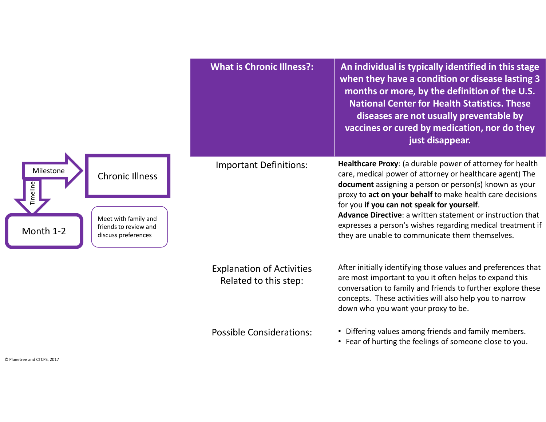|                                                                                                                                             | <b>What is Chronic Illness?:</b>                          | An individual is typically identified in this stage<br>when they have a condition or disease lasting 3<br>months or more, by the definition of the U.S.<br><b>National Center for Health Statistics. These</b><br>diseases are not usually preventable by<br>vaccines or cured by medication, nor do they<br>just disappear.                                                                                                                                              |
|---------------------------------------------------------------------------------------------------------------------------------------------|-----------------------------------------------------------|---------------------------------------------------------------------------------------------------------------------------------------------------------------------------------------------------------------------------------------------------------------------------------------------------------------------------------------------------------------------------------------------------------------------------------------------------------------------------|
| Milestone<br><b>Chronic Illness</b><br><b>Timeline</b><br>Meet with family and<br>friends to review and<br>Month 1-2<br>discuss preferences | <b>Important Definitions:</b>                             | Healthcare Proxy: (a durable power of attorney for health<br>care, medical power of attorney or healthcare agent) The<br>document assigning a person or person(s) known as your<br>proxy to act on your behalf to make health care decisions<br>for you if you can not speak for yourself.<br>Advance Directive: a written statement or instruction that<br>expresses a person's wishes regarding medical treatment if<br>they are unable to communicate them themselves. |
|                                                                                                                                             | <b>Explanation of Activities</b><br>Related to this step: | After initially identifying those values and preferences that<br>are most important to you it often helps to expand this<br>conversation to family and friends to further explore these<br>concepts. These activities will also help you to narrow<br>down who you want your proxy to be.                                                                                                                                                                                 |
|                                                                                                                                             | <b>Possible Considerations:</b>                           | • Differing values among friends and family members.<br>• Fear of hurting the feelings of someone close to you.                                                                                                                                                                                                                                                                                                                                                           |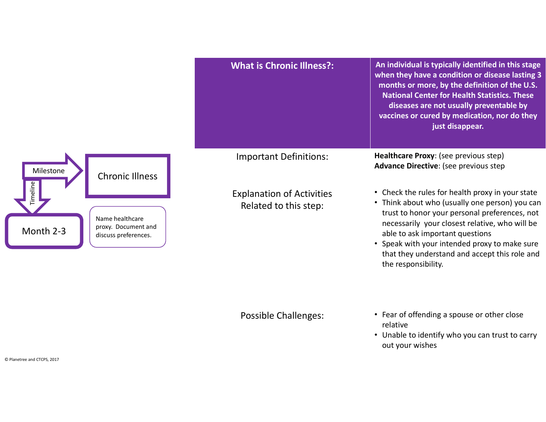|                                                                                        | <b>What is Chronic Illness?:</b>                          | An individual is typically identified in this stage<br>when they have a condition or disease lasting 3<br>months or more, by the definition of the U.S.<br><b>National Center for Health Statistics. These</b><br>diseases are not usually preventable by<br>vaccines or cured by medication, nor do they<br>just disappear.                                      |
|----------------------------------------------------------------------------------------|-----------------------------------------------------------|-------------------------------------------------------------------------------------------------------------------------------------------------------------------------------------------------------------------------------------------------------------------------------------------------------------------------------------------------------------------|
| Milestone<br><b>Chronic Illness</b>                                                    | <b>Important Definitions:</b>                             | Healthcare Proxy: (see previous step)<br>Advance Directive: (see previous step                                                                                                                                                                                                                                                                                    |
| imeline<br>Name healthcare<br>proxy. Document and<br>Month 2-3<br>discuss preferences. | <b>Explanation of Activities</b><br>Related to this step: | • Check the rules for health proxy in your state<br>• Think about who (usually one person) you can<br>trust to honor your personal preferences, not<br>necessarily your closest relative, who will be<br>able to ask important questions<br>• Speak with your intended proxy to make sure<br>that they understand and accept this role and<br>the responsibility. |

- Possible Challenges: Fear of offending a spouse or other close relative
	- Unable to identify who you can trust to carry out your wishes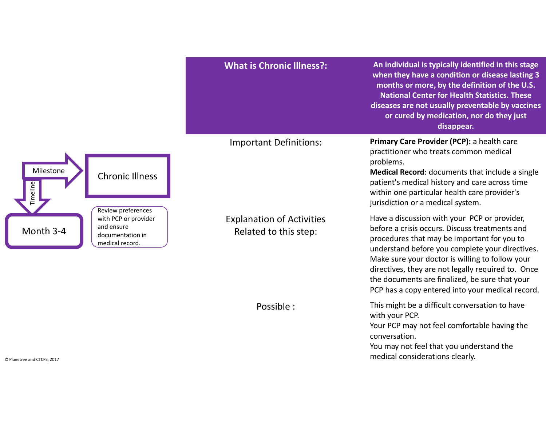|                                                                                                              | <b>What is Chronic Illness?:</b>                          | An individual is typically identified in this stage<br>when they have a condition or disease lasting 3<br>months or more, by the definition of the U.S.<br><b>National Center for Health Statistics. These</b><br>diseases are not usually preventable by vaccines<br>or cured by medication, nor do they just<br>disappear.                                                                                    |
|--------------------------------------------------------------------------------------------------------------|-----------------------------------------------------------|-----------------------------------------------------------------------------------------------------------------------------------------------------------------------------------------------------------------------------------------------------------------------------------------------------------------------------------------------------------------------------------------------------------------|
| Milestone<br><b>Chronic Illness</b>                                                                          | <b>Important Definitions:</b>                             | Primary Care Provider (PCP): a health care<br>practitioner who treats common medical<br>problems.<br>Medical Record: documents that include a single<br>patient's medical history and care across time<br>within one particular health care provider's<br>jurisdiction or a medical system.                                                                                                                     |
| Review preferences<br>with PCP or provider<br>and ensure<br>Month 3-4<br>documentation in<br>medical record. | <b>Explanation of Activities</b><br>Related to this step: | Have a discussion with your PCP or provider,<br>before a crisis occurs. Discuss treatments and<br>procedures that may be important for you to<br>understand before you complete your directives.<br>Make sure your doctor is willing to follow your<br>directives, they are not legally required to. Once<br>the documents are finalized, be sure that your<br>PCP has a copy entered into your medical record. |
| © Planetree and CTCPS, 2017                                                                                  | Possible :                                                | This might be a difficult conversation to have<br>with your PCP.<br>Your PCP may not feel comfortable having the<br>conversation.<br>You may not feel that you understand the<br>medical considerations clearly.                                                                                                                                                                                                |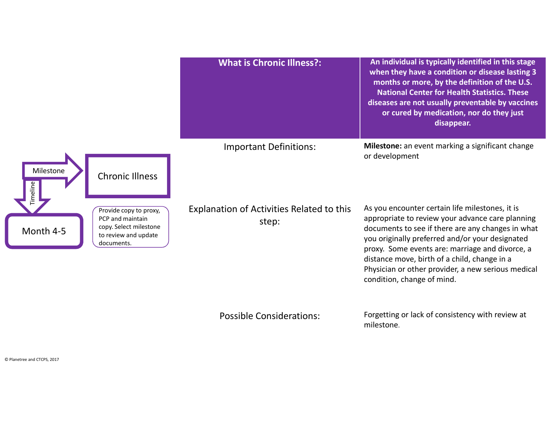

Possible Considerations: Forgetting or lack of consistency with review at milestone.

condition, change of mind.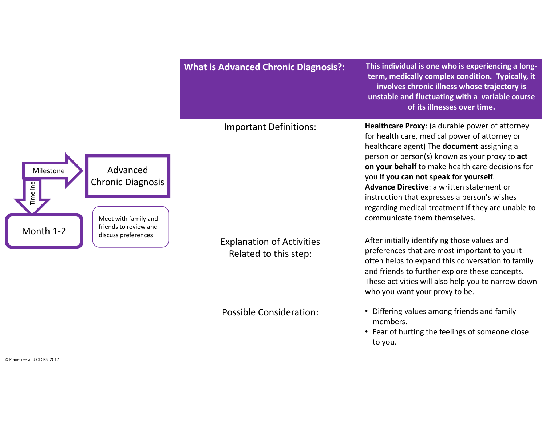|                                                                                                          | <b>What is Advanced Chronic Diagnosis?:</b>               | This individual is one who is experiencing a long-<br>term, medically complex condition. Typically, it<br>involves chronic illness whose trajectory is<br>unstable and fluctuating with a variable course<br>of its illnesses over time.                                                                                                                                                                                                                                        |
|----------------------------------------------------------------------------------------------------------|-----------------------------------------------------------|---------------------------------------------------------------------------------------------------------------------------------------------------------------------------------------------------------------------------------------------------------------------------------------------------------------------------------------------------------------------------------------------------------------------------------------------------------------------------------|
| Advanced<br>Milestone<br>Chronic Diagnosis<br>Meet with family and<br>friends to review and<br>Month 1-2 | <b>Important Definitions:</b>                             | Healthcare Proxy: (a durable power of attorney<br>for health care, medical power of attorney or<br>healthcare agent) The document assigning a<br>person or person(s) known as your proxy to act<br>on your behalf to make health care decisions for<br>you if you can not speak for yourself.<br>Advance Directive: a written statement or<br>instruction that expresses a person's wishes<br>regarding medical treatment if they are unable to<br>communicate them themselves. |
| discuss preferences                                                                                      | <b>Explanation of Activities</b><br>Related to this step: | After initially identifying those values and<br>preferences that are most important to you it<br>often helps to expand this conversation to family<br>and friends to further explore these concepts.<br>These activities will also help you to narrow down<br>who you want your proxy to be.                                                                                                                                                                                    |
|                                                                                                          | <b>Possible Consideration:</b>                            | • Differing values among friends and family<br>members.<br>• Fear of hurting the feelings of someone close<br>to you.                                                                                                                                                                                                                                                                                                                                                           |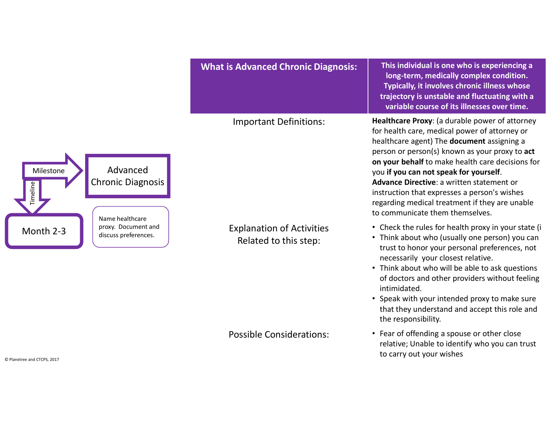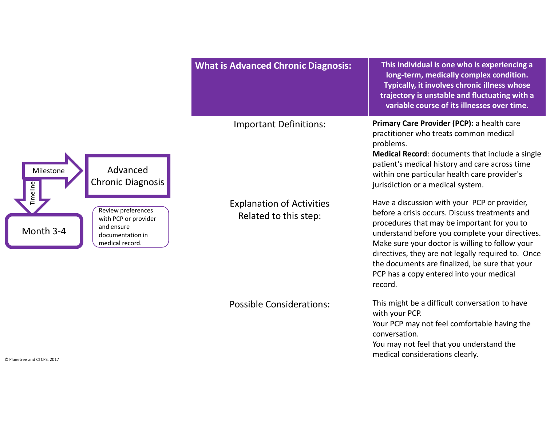|                                                                                                              | <b>What is Advanced Chronic Diagnosis:</b>                | This individual is one who is experiencing a<br>long-term, medically complex condition.<br>Typically, it involves chronic illness whose<br>trajectory is unstable and fluctuating with a<br>variable course of its illnesses over time.                                                                                                                                                                            |
|--------------------------------------------------------------------------------------------------------------|-----------------------------------------------------------|--------------------------------------------------------------------------------------------------------------------------------------------------------------------------------------------------------------------------------------------------------------------------------------------------------------------------------------------------------------------------------------------------------------------|
| Advanced<br>Milestone<br><b>Chronic Diagnosis</b>                                                            | <b>Important Definitions:</b>                             | Primary Care Provider (PCP): a health care<br>practitioner who treats common medical<br>problems.<br><b>Medical Record:</b> documents that include a single<br>patient's medical history and care across time<br>within one particular health care provider's<br>jurisdiction or a medical system.                                                                                                                 |
| Review preferences<br>with PCP or provider<br>and ensure<br>Month 3-4<br>documentation in<br>medical record. | <b>Explanation of Activities</b><br>Related to this step: | Have a discussion with your PCP or provider,<br>before a crisis occurs. Discuss treatments and<br>procedures that may be important for you to<br>understand before you complete your directives.<br>Make sure your doctor is willing to follow your<br>directives, they are not legally required to. Once<br>the documents are finalized, be sure that your<br>PCP has a copy entered into your medical<br>record. |
|                                                                                                              | <b>Possible Considerations:</b>                           | This might be a difficult conversation to have<br>with your PCP.<br>Your PCP may not feel comfortable having the<br>conversation.<br>You may not feel that you understand the<br>medical considerations clearly.                                                                                                                                                                                                   |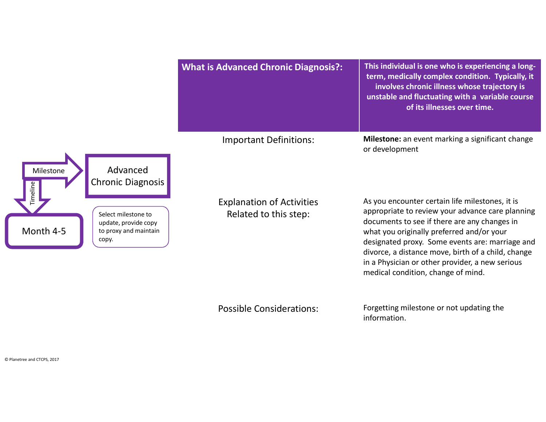

Possible Considerations: Forgetting milestone or not updating the information.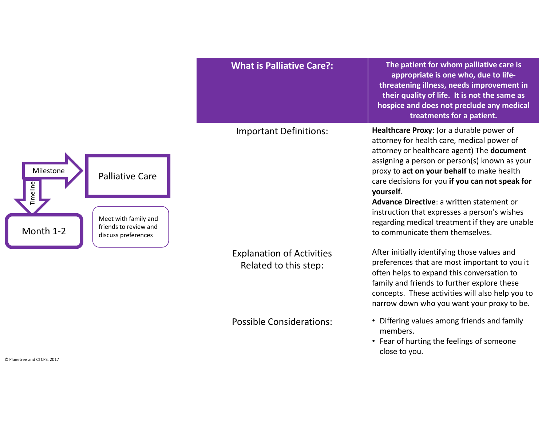

Explanation of Activities Related to this step:

What is Palliative Care?:  $\blacksquare$  The patient for whom palliative care is appropriate is one who, due to lifethreatening illness, needs improvement in their quality of life. It is not the same as hospice and does not preclude any medical treatments for a patient.

Important Definitions: Healthcare Proxy: (or a durable power of attorney for health care, medical power of attorney or healthcare agent) The document assigning a person or person(s) known as your proxy to act on your behalf to make health care decisions for you if you can not speak for yourself.

> Advance Directive: a written statement or instruction that expresses a person's wishes regarding medical treatment if they are unable to communicate them themselves.

> After initially identifying those values and preferences that are most important to you it often helps to expand this conversation to family and friends to further explore these concepts. These activities will also help you to narrow down who you want your proxy to be.

- Possible Considerations: Differing values among friends and family members.
	- Fear of hurting the feelings of someone close to you.

© Planetree and CTCPS, 2017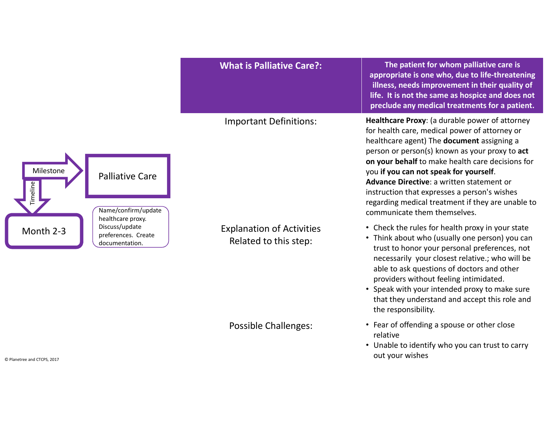|                                                                                           | <b>What is Palliative Care?:</b>                          | The patient for whom palliative care is<br>appropriate is one who, due to life-threatening<br>illness, needs improvement in their quality of<br>life. It is not the same as hospice and does not<br>preclude any medical treatments for a patient.                                                                                                                                                                                                                              |
|-------------------------------------------------------------------------------------------|-----------------------------------------------------------|---------------------------------------------------------------------------------------------------------------------------------------------------------------------------------------------------------------------------------------------------------------------------------------------------------------------------------------------------------------------------------------------------------------------------------------------------------------------------------|
| Milestone<br><b>Palliative Care</b><br>Timeline<br>Name/confirm/update                    | <b>Important Definitions:</b>                             | Healthcare Proxy: (a durable power of attorney<br>for health care, medical power of attorney or<br>healthcare agent) The document assigning a<br>person or person(s) known as your proxy to act<br>on your behalf to make health care decisions for<br>you if you can not speak for yourself.<br>Advance Directive: a written statement or<br>instruction that expresses a person's wishes<br>regarding medical treatment if they are unable to<br>communicate them themselves. |
| healthcare proxy.<br>Discuss/update<br>Month 2-3<br>preferences. Create<br>documentation. | <b>Explanation of Activities</b><br>Related to this step: | • Check the rules for health proxy in your state<br>• Think about who (usually one person) you can<br>trust to honor your personal preferences, not<br>necessarily your closest relative.; who will be<br>able to ask questions of doctors and other<br>providers without feeling intimidated.<br>• Speak with your intended proxy to make sure<br>that they understand and accept this role and<br>the responsibility.                                                         |
| and CTCDS 2017                                                                            | <b>Possible Challenges:</b>                               | • Fear of offending a spouse or other close<br>relative<br>• Unable to identify who you can trust to carry<br>out your wishes                                                                                                                                                                                                                                                                                                                                                   |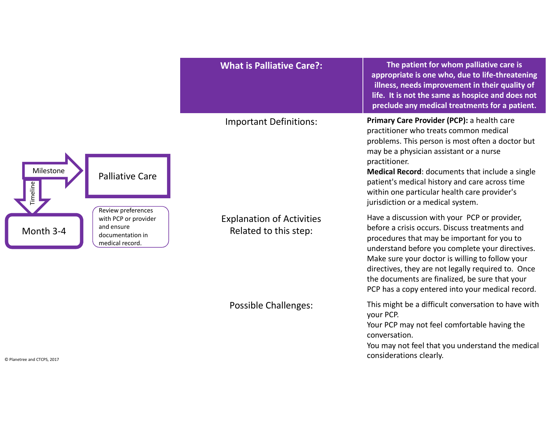|                                                                                                              | <b>What is Palliative Care?:</b>                          | The patient for whom palliative care is<br>appropriate is one who, due to life-threatening<br>illness, needs improvement in their quality of<br>life. It is not the same as hospice and does not<br>preclude any medical treatments for a patient.                                                                                                                                                              |
|--------------------------------------------------------------------------------------------------------------|-----------------------------------------------------------|-----------------------------------------------------------------------------------------------------------------------------------------------------------------------------------------------------------------------------------------------------------------------------------------------------------------------------------------------------------------------------------------------------------------|
| Milestone<br><b>Palliative Care</b><br>imeline                                                               | <b>Important Definitions:</b>                             | Primary Care Provider (PCP): a health care<br>practitioner who treats common medical<br>problems. This person is most often a doctor but<br>may be a physician assistant or a nurse<br>practitioner.<br>Medical Record: documents that include a single<br>patient's medical history and care across time<br>within one particular health care provider's<br>jurisdiction or a medical system.                  |
| Review preferences<br>with PCP or provider<br>and ensure<br>Month 3-4<br>documentation in<br>medical record. | <b>Explanation of Activities</b><br>Related to this step: | Have a discussion with your PCP or provider,<br>before a crisis occurs. Discuss treatments and<br>procedures that may be important for you to<br>understand before you complete your directives.<br>Make sure your doctor is willing to follow your<br>directives, they are not legally required to. Once<br>the documents are finalized, be sure that your<br>PCP has a copy entered into your medical record. |
| © Planetree and CTCPS, 2017                                                                                  | <b>Possible Challenges:</b>                               | This might be a difficult conversation to have with<br>your PCP.<br>Your PCP may not feel comfortable having the<br>conversation.<br>You may not feel that you understand the medical<br>considerations clearly.                                                                                                                                                                                                |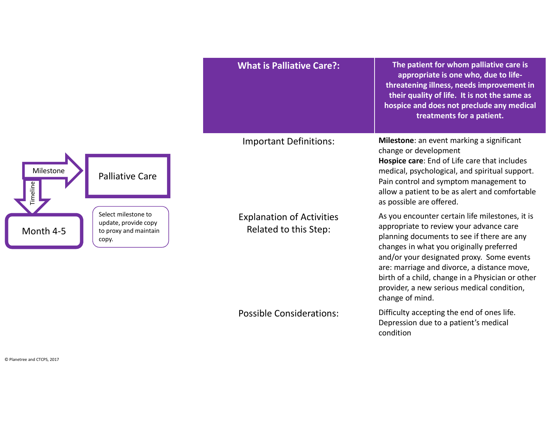|                                                                               | <b>What is Palliative Care?:</b>                          | The patient for whom palliative care is<br>appropriate is one who, due to life-<br>threatening illness, needs improvement in<br>their quality of life. It is not the same as<br>hospice and does not preclude any medical<br>treatments for a patient.                                                                                                                                                |
|-------------------------------------------------------------------------------|-----------------------------------------------------------|-------------------------------------------------------------------------------------------------------------------------------------------------------------------------------------------------------------------------------------------------------------------------------------------------------------------------------------------------------------------------------------------------------|
| <b>Palliative Care</b>                                                        | <b>Important Definitions:</b>                             | Milestone: an event marking a significant<br>change or development<br>Hospice care: End of Life care that includes<br>medical, psychological, and spiritual support.<br>Pain control and symptom management to<br>allow a patient to be as alert and comfortable<br>as possible are offered.                                                                                                          |
| Select milestone to<br>update, provide copy<br>to proxy and maintain<br>copy. | <b>Explanation of Activities</b><br>Related to this Step: | As you encounter certain life milestones, it is<br>appropriate to review your advance care<br>planning documents to see if there are any<br>changes in what you originally preferred<br>and/or your designated proxy. Some events<br>are: marriage and divorce, a distance move,<br>birth of a child, change in a Physician or other<br>provider, a new serious medical condition,<br>change of mind. |
|                                                                               | <b>Possible Considerations:</b>                           | Difficulty accepting the end of ones life.<br>Depression due to a patient's medical<br>condition                                                                                                                                                                                                                                                                                                      |

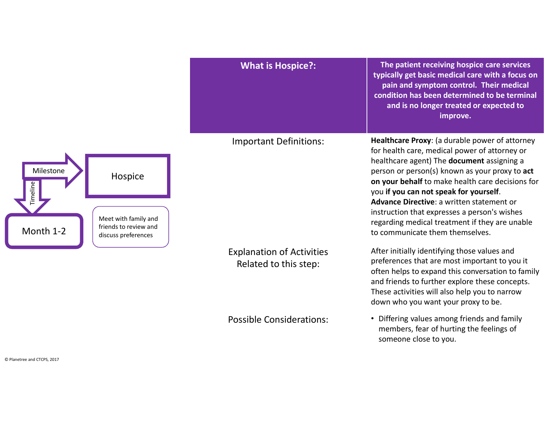|                                                                                                                       | <b>What is Hospice?:</b>                                  | The patient receiving hospice care services<br>typically get basic medical care with a focus on<br>pain and symptom control. Their medical<br>condition has been determined to be terminal<br>and is no longer treated or expected to<br>improve.                                                                                                                                                                                                                               |
|-----------------------------------------------------------------------------------------------------------------------|-----------------------------------------------------------|---------------------------------------------------------------------------------------------------------------------------------------------------------------------------------------------------------------------------------------------------------------------------------------------------------------------------------------------------------------------------------------------------------------------------------------------------------------------------------|
| Milestone<br>Hospice<br>Timeline<br>Meet with family and<br>friends to review and<br>Month 1-2<br>discuss preferences | <b>Important Definitions:</b>                             | Healthcare Proxy: (a durable power of attorney<br>for health care, medical power of attorney or<br>healthcare agent) The document assigning a<br>person or person(s) known as your proxy to act<br>on your behalf to make health care decisions for<br>you if you can not speak for yourself.<br>Advance Directive: a written statement or<br>instruction that expresses a person's wishes<br>regarding medical treatment if they are unable<br>to communicate them themselves. |
|                                                                                                                       | <b>Explanation of Activities</b><br>Related to this step: | After initially identifying those values and<br>preferences that are most important to you it<br>often helps to expand this conversation to family<br>and friends to further explore these concepts.<br>These activities will also help you to narrow<br>down who you want your proxy to be.                                                                                                                                                                                    |
|                                                                                                                       | <b>Possible Considerations:</b>                           | • Differing values among friends and family<br>members, fear of hurting the feelings of                                                                                                                                                                                                                                                                                                                                                                                         |

someone close to you.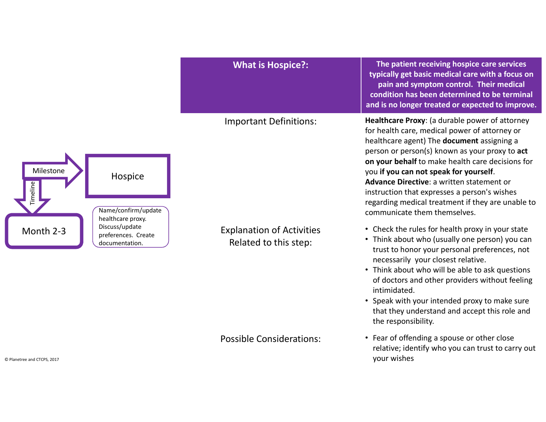|                                                                                                                                                                             | <b>What is Hospice?:</b>                                  | The patient receiving hospice care services<br>typically get basic medical care with a focus on<br>pain and symptom control. Their medical<br>condition has been determined to be terminal                                                                                                                                                                                                                                              |
|-----------------------------------------------------------------------------------------------------------------------------------------------------------------------------|-----------------------------------------------------------|-----------------------------------------------------------------------------------------------------------------------------------------------------------------------------------------------------------------------------------------------------------------------------------------------------------------------------------------------------------------------------------------------------------------------------------------|
| Milestone<br>Hospice<br>imeline<br>Name/confirm/update<br>healthcare proxy.<br>Discuss/update<br>Month 2-3<br>preferences. Create<br>documentation.<br>tree and CTCPS, 2017 | <b>Important Definitions:</b>                             | and is no longer treated or expected to improve.<br>Healthcare Proxy: (a durable power of attorney                                                                                                                                                                                                                                                                                                                                      |
|                                                                                                                                                                             |                                                           | for health care, medical power of attorney or<br>healthcare agent) The document assigning a<br>person or person(s) known as your proxy to act<br>on your behalf to make health care decisions for<br>you if you can not speak for yourself.<br>Advance Directive: a written statement or<br>instruction that expresses a person's wishes<br>regarding medical treatment if they are unable to<br>communicate them themselves.           |
|                                                                                                                                                                             | <b>Explanation of Activities</b><br>Related to this step: | • Check the rules for health proxy in your state<br>• Think about who (usually one person) you can<br>trust to honor your personal preferences, not<br>necessarily your closest relative.<br>• Think about who will be able to ask questions<br>of doctors and other providers without feeling<br>intimidated.<br>• Speak with your intended proxy to make sure<br>that they understand and accept this role and<br>the responsibility. |
|                                                                                                                                                                             | <b>Possible Considerations:</b>                           | • Fear of offending a spouse or other close<br>relative; identify who you can trust to carry out<br>your wishes                                                                                                                                                                                                                                                                                                                         |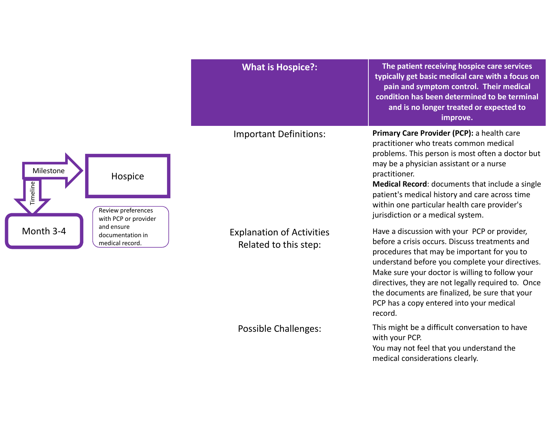| Primary Care Provider (PCP): a health care<br><b>Important Definitions:</b><br>practitioner who treats common medical<br>problems. This person is most often a doctor but<br>may be a physician assistant or a nurse<br>Milestone<br>practitioner.<br>Hospice                                                                                                                                                                                                                                                                                     |  |
|---------------------------------------------------------------------------------------------------------------------------------------------------------------------------------------------------------------------------------------------------------------------------------------------------------------------------------------------------------------------------------------------------------------------------------------------------------------------------------------------------------------------------------------------------|--|
| Medical Record: documents that include a single<br>Timeline<br>patient's medical history and care across time<br>within one particular health care provider's<br>Review preferences<br>jurisdiction or a medical system.<br>with PCP or provider                                                                                                                                                                                                                                                                                                  |  |
| and ensure<br>Month 3-4<br>Have a discussion with your PCP or provider,<br><b>Explanation of Activities</b><br>documentation in<br>before a crisis occurs. Discuss treatments and<br>medical record.<br>Related to this step:<br>procedures that may be important for you to<br>understand before you complete your directives.<br>Make sure your doctor is willing to follow your<br>directives, they are not legally required to. Once<br>the documents are finalized, be sure that your<br>PCP has a copy entered into your medical<br>record. |  |
| This might be a difficult conversation to have<br><b>Possible Challenges:</b><br>with your PCP.<br>You may not feel that you understand the<br>medical considerations clearly.                                                                                                                                                                                                                                                                                                                                                                    |  |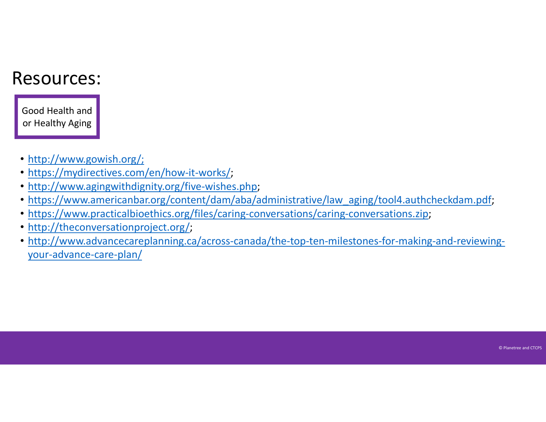#### Resources:

Good Health and or Healthy Aging

- http://www.gowish.org/;
- https://mydirectives.com/en/how-it-works/;
- http://www.agingwithdignity.org/five-wishes.php;
- https://www.americanbar.org/content/dam/aba/administrative/law\_aging/tool4.authcheckdam.pdf;
- https://www.practicalbioethics.org/files/caring-conversations/caring-conversations.zip;
- http://theconversationproject.org/;
- http://www.advancecareplanning.ca/across-canada/the-top-ten-milestones-for-making-and-reviewingyour-advance-care-plan/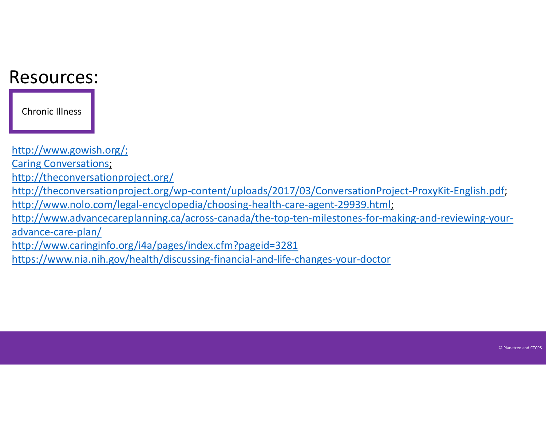#### Resources:

Chronic Illness

http://www.gowish.org/; Caring Conversations; http://theconversationproject.org/ http://theconversationproject.org/wp-content/uploads/2017/03/ConversationProject-ProxyKit-English.pdf; http://www.nolo.com/legal-encyclopedia/choosing-health-care-agent-29939.html; http://www.advancecareplanning.ca/across-canada/the-top-ten-milestones-for-making-and-reviewing-youradvance-care-plan/ http://www.caringinfo.org/i4a/pages/index.cfm?pageid=3281 https://www.nia.nih.gov/health/discussing-financial-and-life-changes-your-doctor

© Planetree and CTCPS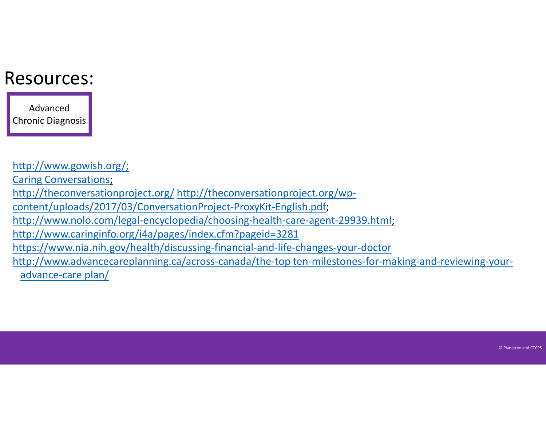### Resources:

Advanced Chronic Diagnosis

http://www.gowish.org/; Caring Conversations; **Lesources:**<br>
Advanced<br>
Chronic Diagnosis<br>
http://www.gowish.org/<br>
Caring Conversationproject.org/ http://theconversationproject.org/wp-<br>
content/uploads/2017/03/ConversationProject-ProxyKit-English.pdf;<br>
http://www.caring content/uploads/2017/03/ConversationProject-ProxyKit-English.pdf; http://www.nolo.com/legal-encyclopedia/choosing-health-care-agent-29939.html; http://www.caringinfo.org/i4a/pages/index.cfm?pageid=3281 https://www.nia.nih.gov/health/discussing-financial-and-life-changes-your-doctor http://www.advancecareplanning.ca/across-canada/the-top ten-milestones-for-making-and-reviewing-youradvance-care plan/